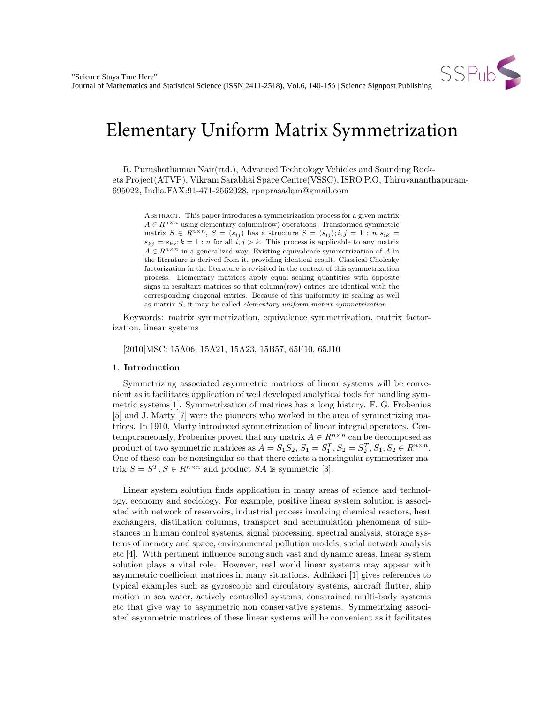

# Elementary Uniform Matrix Symmetrization

R. Purushothaman Nair(rtd.), Advanced Technology Vehicles and Sounding Rockets Project(ATVP), Vikram Sarabhai Space Centre(VSSC), ISRO P.O, Thiruvananthapuram-695022, India,FAX:91-471-2562028, rpnprasadam@gmail.com

Abstract. This paper introduces a symmetrization process for a given matrix  $A \in R^{n \times n}$  using elementary column<br>(row) operations. Transformed symmetric matrix  $S \in R^{n \times n}$ ,  $S = (s_{ij})$  has a structure  $S = (s_{ij}); i, j = 1 : n, s_{ik}$  $s_{kj} = s_{kk}$ ;  $k = 1 : n$  for all  $i, j > k$ . This process is applicable to any matrix  $A \in R^{n \times n}$  in a generalized way. Existing equivalence symmetrization of A in the literature is derived from it, providing identical result. Classical Cholesky factorization in the literature is revisited in the context of this symmetrization process. Elementary matrices apply equal scaling quantities with opposite signs in resultant matrices so that column(row) entries are identical with the corresponding diagonal entries. Because of this uniformity in scaling as well as matrix  $S$ , it may be called *elementary uniform matrix symmetrization*.

Keywords: matrix symmetrization, equivalence symmetrization, matrix factorization, linear systems

[2010]MSC: 15A06, 15A21, 15A23, 15B57, 65F10, 65J10

### 1. Introduction

Symmetrizing associated asymmetric matrices of linear systems will be convenient as it facilitates application of well developed analytical tools for handling symmetric systems[1]. Symmetrization of matrices has a long history. F. G. Frobenius [5] and J. Marty [7] were the pioneers who worked in the area of symmetrizing matrices. In 1910, Marty introduced symmetrization of linear integral operators. Contemporaneously, Frobenius proved that any matrix  $A \in R^{n \times n}$  can be decomposed as product of two symmetric matrices as  $A = S_1 S_2$ ,  $S_1 = S_1^T$ ,  $S_2 = S_2^T$ ,  $S_1$ ,  $S_2 \in R^{n \times n}$ . One of these can be nonsingular so that there exists a nonsingular symmetrizer matrix  $S = S^T, S \in R^{n \times n}$  and product SA is symmetric [3].

Linear system solution finds application in many areas of science and technology, economy and sociology. For example, positive linear system solution is associated with network of reservoirs, industrial process involving chemical reactors, heat exchangers, distillation columns, transport and accumulation phenomena of substances in human control systems, signal processing, spectral analysis, storage systems of memory and space, environmental pollution models, social network analysis etc [4]. With pertinent influence among such vast and dynamic areas, linear system solution plays a vital role. However, real world linear systems may appear with asymmetric coefficient matrices in many situations. Adhikari [1] gives references to typical examples such as gyroscopic and circulatory systems, aircraft flutter, ship motion in sea water, actively controlled systems, constrained multi-body systems etc that give way to asymmetric non conservative systems. Symmetrizing associated asymmetric matrices of these linear systems will be convenient as it facilitates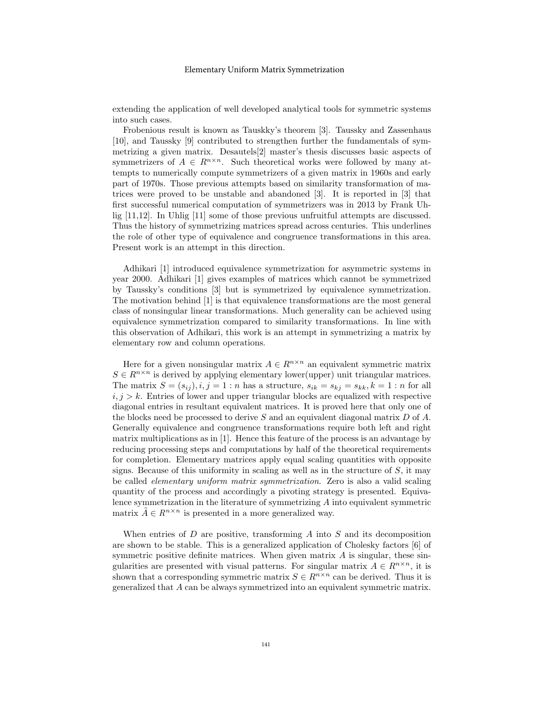#### Elementary Uniform Matrix Symmetrization

extending the application of well developed analytical tools for symmetric systems into such cases.

Frobenious result is known as Tauskky's theorem [3]. Taussky and Zassenhaus [10], and Taussky [9] contributed to strengthen further the fundamentals of symmetrizing a given matrix. Desautels[2] master's thesis discusses basic aspects of symmetrizers of  $A \in R^{n \times n}$ . Such theoretical works were followed by many attempts to numerically compute symmetrizers of a given matrix in 1960s and early part of 1970s. Those previous attempts based on similarity transformation of matrices were proved to be unstable and abandoned [3]. It is reported in [3] that first successful numerical computation of symmetrizers was in 2013 by Frank Uhlig [11,12]. In Uhlig [11] some of those previous unfruitful attempts are discussed. Thus the history of symmetrizing matrices spread across centuries. This underlines the role of other type of equivalence and congruence transformations in this area. Present work is an attempt in this direction.

Adhikari [1] introduced equivalence symmetrization for asymmetric systems in year 2000. Adhikari [1] gives examples of matrices which cannot be symmetrized by Taussky's conditions [3] but is symmetrized by equivalence symmetrization. The motivation behind [1] is that equivalence transformations are the most general class of nonsingular linear transformations. Much generality can be achieved using equivalence symmetrization compared to similarity transformations. In line with this observation of Adhikari, this work is an attempt in symmetrizing a matrix by elementary row and column operations.

Here for a given nonsingular matrix  $A \in \mathbb{R}^{n \times n}$  an equivalent symmetric matrix  $S \in R^{n \times n}$  is derived by applying elementary lower(upper) unit triangular matrices. The matrix  $S = (s_{ij}), i, j = 1 : n$  has a structure,  $s_{ik} = s_{ki} = s_{kk}, k = 1 : n$  for all  $i, j > k$ . Entries of lower and upper triangular blocks are equalized with respective diagonal entries in resultant equivalent matrices. It is proved here that only one of the blocks need be processed to derive S and an equivalent diagonal matrix  $D$  of A. Generally equivalence and congruence transformations require both left and right matrix multiplications as in [1]. Hence this feature of the process is an advantage by reducing processing steps and computations by half of the theoretical requirements for completion. Elementary matrices apply equal scaling quantities with opposite signs. Because of this uniformity in scaling as well as in the structure of  $S$ , it may be called elementary uniform matrix symmetrization. Zero is also a valid scaling quantity of the process and accordingly a pivoting strategy is presented. Equivalence symmetrization in the literature of symmetrizing A into equivalent symmetric matrix  $\tilde{A} \in R^{n \times n}$  is presented in a more generalized way.

When entries of  $D$  are positive, transforming  $A$  into  $S$  and its decomposition are shown to be stable. This is a generalized application of Cholesky factors [6] of symmetric positive definite matrices. When given matrix  $A$  is singular, these singularities are presented with visual patterns. For singular matrix  $A \in R^{n \times n}$ , it is shown that a corresponding symmetric matrix  $S \in R^{n \times n}$  can be derived. Thus it is generalized that A can be always symmetrized into an equivalent symmetric matrix.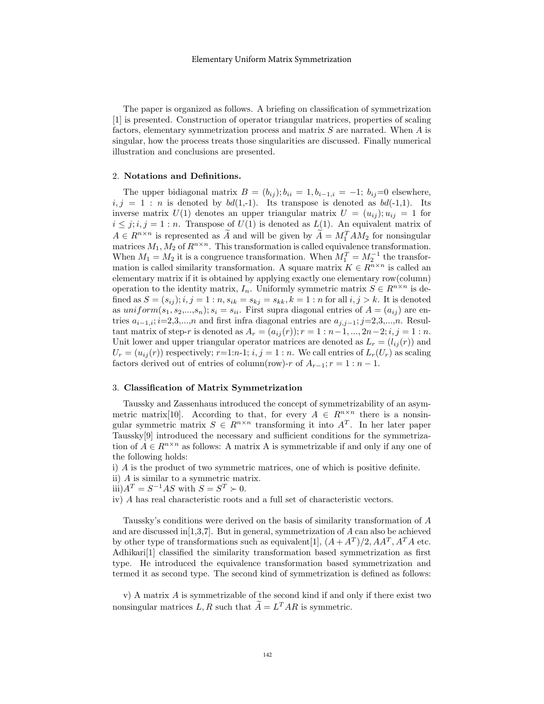The paper is organized as follows. A briefing on classification of symmetrization [1] is presented. Construction of operator triangular matrices, properties of scaling factors, elementary symmetrization process and matrix S are narrated. When A is singular, how the process treats those singularities are discussed. Finally numerical illustration and conclusions are presented.

## 2. Notations and Definitions.

The upper bidiagonal matrix  $B = (b_{ij}); b_{ii} = 1, b_{i-1,i} = -1; b_{ij}=0$  elsewhere,  $i, j = 1 : n$  is denoted by  $bd(1,-1)$ . Its transpose is denoted as  $bd(-1,1)$ . Its inverse matrix  $U(1)$  denotes an upper triangular matrix  $U = (u_{ij}); u_{ij} = 1$  for  $i \leq j$ ;  $i, j = 1 : n$ . Transpose of  $U(1)$  is denoted as  $L(1)$ . An equivalent matrix of  $A \in R^{n \times n}$  is represented as  $\widetilde{A}$  and will be given by  $\widetilde{A} = M_1^T A M_2$  for nonsingular matrices  $M_1, M_2$  of  $R^{n \times n}$ . This transformation is called equivalence transformation. When  $M_1 = M_2$  it is a congruence transformation. When  $M_1^T = M_2^{-1}$  the transformation is called similarity transformation. A square matrix  $K \in R^{n \times n}$  is called an elementary matrix if it is obtained by applying exactly one elementary row(column) operation to the identity matrix,  $I_n$ . Uniformly symmetric matrix  $S \in R^{n \times n}$  is defined as  $S = (s_{ij}); i, j = 1 : n, s_{ik} = s_{kj} = s_{kk}, k = 1 : n$  for all  $i, j > k$ . It is denoted as  $uniform(s_1, s_2,...,s_n); s_i = s_{ii}$ . First supra diagonal entries of  $A = (a_{ij})$  are entries  $a_{i-1,i}$ ;  $i=2,3,...,n$  and first infra diagonal entries are  $a_{i,i-1}$ ; j=2,3,...,n. Resultant matrix of step-r is denoted as  $A_r = (a_{ij}(r)); r = 1 : n-1, ..., 2n-2; i, j = 1 : n$ . Unit lower and upper triangular operator matrices are denoted as  $L_r = (l_{ij}(r))$  and  $U_r = (u_{ij}(r))$  respectively;  $r=1:n-1; i, j = 1:n$ . We call entries of  $L_r(U_r)$  as scaling factors derived out of entries of column(row)-r of  $A_{r-1}$ ; r = 1 : n − 1.

### 3. Classification of Matrix Symmetrization

Taussky and Zassenhaus introduced the concept of symmetrizability of an asymmetric matrix[10]. According to that, for every  $A \in R^{n \times n}$  there is a nonsingular symmetric matrix  $S \in R^{n \times n}$  transforming it into  $A<sup>T</sup>$ . In her later paper Taussky[9] introduced the necessary and sufficient conditions for the symmetrization of  $A \in R^{n \times n}$  as follows: A matrix A is symmetrizable if and only if any one of the following holds:

- i) A is the product of two symmetric matrices, one of which is positive definite.
- ii) A is similar to a symmetric matrix.
- iii) $A^T = S^{-1}AS$  with  $S = S^T \succ 0$ .
- iv) A has real characteristic roots and a full set of characteristic vectors.

Taussky's conditions were derived on the basis of similarity transformation of A and are discussed in  $[1,3,7]$ . But in general, symmetrization of A can also be achieved by other type of transformations such as equivalent[1],  $(A + A^T)/2$ ,  $AA^T$ ,  $A^T A$  etc. Adhikari[1] classified the similarity transformation based symmetrization as first type. He introduced the equivalence transformation based symmetrization and termed it as second type. The second kind of symmetrization is defined as follows:

v) A matrix A is symmetrizable of the second kind if and only if there exist two nonsingular matrices  $L, R$  such that  $\widetilde{A} = L^T A R$  is symmetric.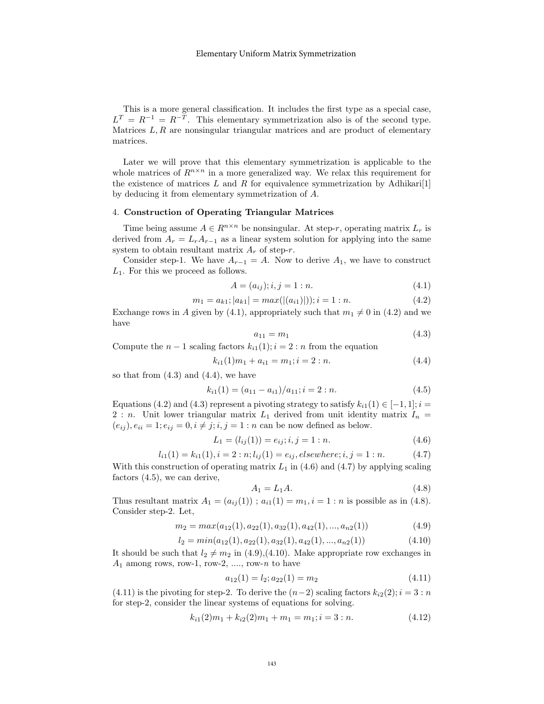This is a more general classification. It includes the first type as a special case,  $L^T = R^{-1} = R^{-T}$ . This elementary symmetrization also is of the second type. Matrices  $L, R$  are nonsingular triangular matrices and are product of elementary matrices.

Later we will prove that this elementary symmetrization is applicable to the whole matrices of  $R^{n \times n}$  in a more generalized way. We relax this requirement for the existence of matrices L and R for equivalence symmetrization by Adhikari<sup>[1]</sup> by deducing it from elementary symmetrization of A.

#### 4. Construction of Operating Triangular Matrices

Time being assume  $A \in R^{n \times n}$  be nonsingular. At step-r, operating matrix  $L_r$  is derived from  $A_r = L_r A_{r-1}$  as a linear system solution for applying into the same system to obtain resultant matrix  $A_r$  of step-r.

Consider step-1. We have  $A_{r-1} = A$ . Now to derive  $A_1$ , we have to construct  $L_1$ . For this we proceed as follows.

$$
A = (a_{ij}); i, j = 1 : n.
$$
\n(4.1)

$$
m_1 = a_{k1}; |a_{k1}| = max(|(a_{i1})|)); i = 1:n.
$$
\n
$$
(4.2)
$$

Exchange rows in A given by (4.1), appropriately such that  $m_1 \neq 0$  in (4.2) and we have

$$
a_{11} = m_1 \tag{4.3}
$$

Compute the  $n-1$  scaling factors  $k_{i1}(1); i = 2:n$  from the equation

$$
k_{i1}(1)m_1 + a_{i1} = m_1; i = 2:n.
$$
\n(4.4)

so that from  $(4.3)$  and  $(4.4)$ , we have

$$
k_{i1}(1) = (a_{11} - a_{i1})/a_{11}; i = 2 : n.
$$
\n
$$
(4.5)
$$

Equations (4.2) and (4.3) represent a pivoting strategy to satisfy  $k_{i1}(1) \in [-1,1]; i =$ 2 : n. Unit lower triangular matrix  $L_1$  derived from unit identity matrix  $I_n =$  $(e_{ij})$ ,  $e_{ii} = 1$ ;  $e_{ij} = 0$ ,  $i \neq j$ ;  $i, j = 1 : n$  can be now defined as below.

$$
L_1 = (l_{ij}(1)) = e_{ij}; i, j = 1 : n.
$$
\n(4.6)

$$
l_{i1}(1) = k_{i1}(1), i = 2 : n; l_{ij}(1) = e_{ij}, elsewhere; i, j = 1 : n.
$$
 (4.7)

With this construction of operating matrix  $L_1$  in (4.6) and (4.7) by applying scaling factors (4.5), we can derive,

$$
A_1 = L_1 A. \tag{4.8}
$$

Thus resultant matrix  $A_1 = (a_{ij}(1))$ ;  $a_{i1}(1) = m_1, i = 1 : n$  is possible as in (4.8). Consider step-2. Let,

$$
m_2 = max(a_{12}(1), a_{22}(1), a_{32}(1), a_{42}(1), ..., a_{n2}(1))
$$
\n(4.9)

$$
l_2 = min(a_{12}(1), a_{22}(1), a_{32}(1), a_{42}(1), ..., a_{n2}(1))
$$
\n(4.10)

It should be such that  $l_2 \neq m_2$  in (4.9),(4.10). Make appropriate row exchanges in  $A_1$  among rows, row-1, row-2, ..., row-n to have

$$
a_{12}(1) = l_2; a_{22}(1) = m_2 \tag{4.11}
$$

(4.11) is the pivoting for step-2. To derive the  $(n-2)$  scaling factors  $k_{i2}(2); i = 3 : n$ for step-2, consider the linear systems of equations for solving.

$$
k_{i1}(2)m_1 + k_{i2}(2)m_1 + m_1 = m_1; i = 3:n.
$$
\n(4.12)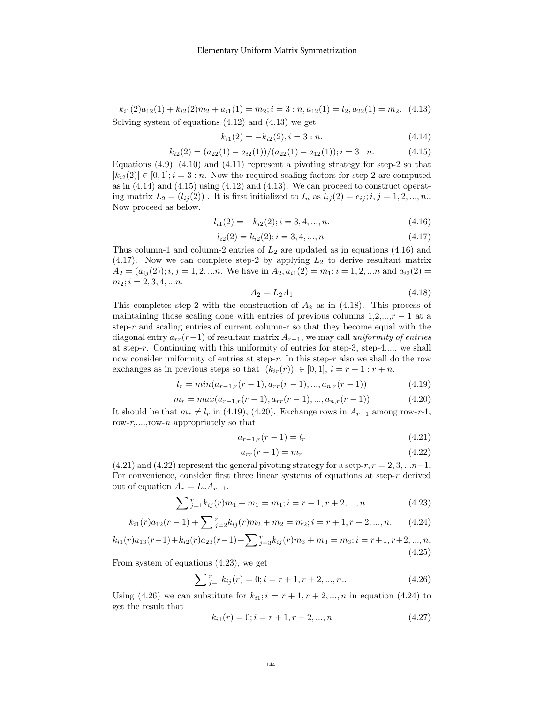$k_{i1}(2)a_{12}(1) + k_{i2}(2)m_2 + a_{i1}(1) = m_2; i = 3:n, a_{12}(1) = l_2, a_{22}(1) = m_2.$  (4.13) Solving system of equations (4.12) and (4.13) we get

$$
k_{i1}(2) = -k_{i2}(2), i = 3:n.
$$
\n(4.14)

$$
k_{i2}(2) = (a_{22}(1) - a_{i2}(1))/(a_{22}(1) - a_{12}(1)); i = 3:n.
$$
 (4.15)

Equations  $(4.9)$ ,  $(4.10)$  and  $(4.11)$  represent a pivoting strategy for step-2 so that  $|k_{i2}(2)| \in [0,1]; i = 3:n$ . Now the required scaling factors for step-2 are computed as in  $(4.14)$  and  $(4.15)$  using  $(4.12)$  and  $(4.13)$ . We can proceed to construct operating matrix  $L_2 = (l_{ij}(2))$ . It is first initialized to  $I_n$  as  $l_{ij}(2) = e_{ij}; i, j = 1, 2, ..., n$ . Now proceed as below.

$$
l_{i1}(2) = -k_{i2}(2); i = 3, 4, ..., n.
$$
\n(4.16)

$$
l_{i2}(2) = k_{i2}(2); i = 3, 4, ..., n.
$$
\n(4.17)

Thus column-1 and column-2 entries of  $L_2$  are updated as in equations (4.16) and  $(4.17)$ . Now we can complete step-2 by applying  $L_2$  to derive resultant matrix  $A_2 = (a_{ij}(2)); i,j = 1,2,...n.$  We have in  $A_2, a_{i1}(2) = m_1; i = 1,2,...n$  and  $a_{i2}(2) =$  $m_2$ ;  $i = 2, 3, 4, \dots n$ .

$$
A_2 = L_2 A_1 \t\t(4.18)
$$

This completes step-2 with the construction of  $A_2$  as in (4.18). This process of maintaining those scaling done with entries of previous columns  $1,2,...,r-1$  at a step- $r$  and scaling entries of current column-r so that they become equal with the diagonal entry  $a_{rr}(r-1)$  of resultant matrix  $A_{r-1}$ , we may call uniformity of entries at step-r. Continuing with this uniformity of entries for step-3, step-4,..., we shall now consider uniformity of entries at step-r. In this step-r also we shall do the row exchanges as in previous steps so that  $|(k_{ir}(r))| \in [0,1], i = r + 1 : r + n$ .

$$
l_r = \min(a_{r-1,r}(r-1), a_{rr}(r-1), ..., a_{n,r}(r-1))
$$
\n(4.19)

$$
m_r = max(a_{r-1,r}(r-1), a_{rr}(r-1), ..., a_{n,r}(r-1))
$$
\n(4.20)

It should be that  $m_r \neq l_r$  in (4.19), (4.20). Exchange rows in  $A_{r-1}$  among row-r-1, row- $r, \ldots, r$ ow- $n$  appropriately so that

$$
a_{r-1,r}(r-1) = l_r \tag{4.21}
$$

$$
a_{rr}(r-1) = m_r \tag{4.22}
$$

(4.21) and (4.22) represent the general pivoting strategy for a setp-r,  $r = 2, 3, \dots n-1$ . For convenience, consider first three linear systems of equations at step-r derived out of equation  $A_r = L_r A_{r-1}$ .

$$
\sum_{j=1}^{r} k_{ij}(r)m_1 + m_1 = m_1; i = r+1, r+2, ..., n.
$$
 (4.23)

$$
k_{i1}(r)a_{12}(r-1) + \sum_{j=2}^{r} k_{ij}(r)m_2 + m_2 = m_2; i = r+1, r+2, ..., n.
$$
 (4.24)

$$
k_{i1}(r)a_{13}(r-1) + k_{i2}(r)a_{23}(r-1) + \sum_{j=3}^{r} k_{ij}(r)m_3 + m_3 = m_3; i = r+1, r+2, ..., n.
$$
\n(4.25)

From system of equations (4.23), we get

$$
\sum_{j=1}^{r} k_{ij}(r) = 0; i = r+1, r+2, ..., n... \tag{4.26}
$$

Using (4.26) we can substitute for  $k_{i1}$ ;  $i = r + 1, r + 2, ..., n$  in equation (4.24) to get the result that

$$
k_{i1}(r) = 0; i = r + 1, r + 2, ..., n \tag{4.27}
$$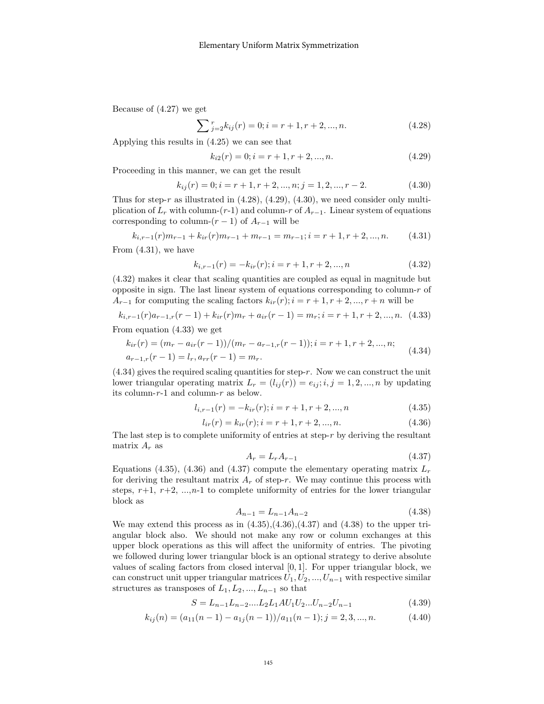Because of (4.27) we get

$$
\sum_{j=2}^{r} k_{ij}(r) = 0; i = r + 1, r + 2, ..., n.
$$
 (4.28)

Applying this results in (4.25) we can see that

$$
k_{i2}(r) = 0; i = r + 1, r + 2, ..., n.
$$
\n(4.29)

Proceeding in this manner, we can get the result

$$
k_{ij}(r) = 0; i = r + 1, r + 2, ..., n; j = 1, 2, ..., r - 2.
$$
\n(4.30)

Thus for step-r as illustrated in  $(4.28)$ ,  $(4.29)$ ,  $(4.30)$ , we need consider only multiplication of  $L_r$  with column-(r-1) and column-r of  $A_{r-1}$ . Linear system of equations corresponding to column- $(r-1)$  of  $A_{r-1}$  will be

$$
k_{i,r-1}(r)m_{r-1} + k_{ir}(r)m_{r-1} + m_{r-1} = m_{r-1}; i = r+1, r+2, ..., n.
$$
 (4.31)

From (4.31), we have

$$
k_{i,r-1}(r) = -k_{ir}(r); i = r+1, r+2, ..., n
$$
\n(4.32)

(4.32) makes it clear that scaling quantities are coupled as equal in magnitude but opposite in sign. The last linear system of equations corresponding to column- $r$  of  $A_{r-1}$  for computing the scaling factors  $k_{ir}(r); i = r+1, r+2, ..., r+n$  will be

$$
k_{i,r-1}(r)a_{r-1,r}(r-1) + k_{ir}(r)m_r + a_{ir}(r-1) = m_r; i = r+1, r+2, ..., n. \tag{4.33}
$$

From equation (4.33) we get

$$
k_{ir}(r) = (m_r - a_{ir}(r-1))/(m_r - a_{r-1,r}(r-1)); i = r+1, r+2, ..., n; a_{r-1,r}(r-1) = l_r, a_{rr}(r-1) = m_r.
$$
\n(4.34)

 $(4.34)$  gives the required scaling quantities for step-r. Now we can construct the unit lower triangular operating matrix  $L_r = (l_{ij}(r)) = e_{ij}; i, j = 1, 2, ..., n$  by updating its column- $r-1$  and column- $r$  as below.

$$
l_{i,r-1}(r) = -k_{ir}(r); i = r+1, r+2, ..., n
$$
\n(4.35)

$$
l_{ir}(r) = k_{ir}(r); i = r + 1, r + 2, ..., n.
$$
\n(4.36)

The last step is to complete uniformity of entries at step- $r$  by deriving the resultant matrix  $A_r$  as

$$
A_r = L_r A_{r-1} \tag{4.37}
$$

Equations (4.35), (4.36) and (4.37) compute the elementary operating matrix  $L_r$ for deriving the resultant matrix  $A_r$  of step-r. We may continue this process with steps,  $r+1$ ,  $r+2$ , ..., $n-1$  to complete uniformity of entries for the lower triangular block as

$$
A_{n-1} = L_{n-1}A_{n-2} \tag{4.38}
$$

We may extend this process as in  $(4.35),(4.36),(4.37)$  and  $(4.38)$  to the upper triangular block also. We should not make any row or column exchanges at this upper block operations as this will affect the uniformity of entries. The pivoting we followed during lower triangular block is an optional strategy to derive absolute values of scaling factors from closed interval  $[0, 1]$ . For upper triangular block, we can construct unit upper triangular matrices  $U_1, U_2, ..., U_{n-1}$  with respective similar structures as transposes of  $L_1, L_2, ..., L_{n-1}$  so that

$$
S = L_{n-1}L_{n-2}....L_2L_1AU_1U_2...U_{n-2}U_{n-1}
$$
\n(4.39)

$$
k_{ij}(n) = (a_{11}(n-1) - a_{1j}(n-1))/a_{11}(n-1); j = 2, 3, ..., n.
$$
 (4.40)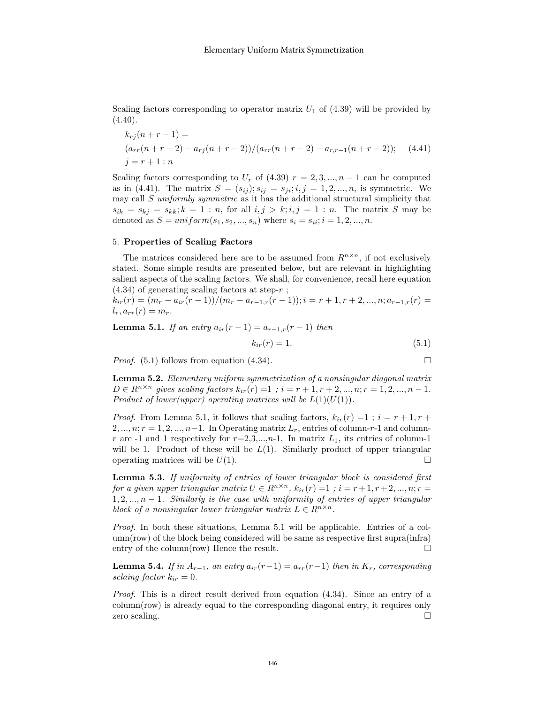Scaling factors corresponding to operator matrix  $U_1$  of (4.39) will be provided by  $(4.40).$ 

$$
k_{rj}(n+r-1) =
$$
  
\n
$$
(a_{rr}(n+r-2) - a_{rj}(n+r-2))/(a_{rr}(n+r-2) - a_{r,r-1}(n+r-2));
$$
 (4.41)  
\n
$$
j = r+1:n
$$

Scaling factors corresponding to  $U_r$  of (4.39)  $r = 2, 3, ..., n - 1$  can be computed as in (4.41). The matrix  $S = (s_{ij}); s_{ij} = s_{ji}; i, j = 1, 2, ..., n$ , is symmetric. We may call  $S$  uniformly symmetric as it has the additional structural simplicity that  $s_{ik} = s_{kj} = s_{kk}$ ;  $k = 1 : n$ , for all  $i, j > k$ ;  $i, j = 1 : n$ . The matrix S may be denoted as  $S = uniform(s_1, s_2, ..., s_n)$  where  $s_i = s_{ii}; i = 1, 2, ..., n$ .

#### 5. Properties of Scaling Factors

The matrices considered here are to be assumed from  $R^{n \times n}$ , if not exclusively stated. Some simple results are presented below, but are relevant in highlighting salient aspects of the scaling factors. We shall, for convenience, recall here equation  $(4.34)$  of generating scaling factors at step- $r$ ;

 $k_{ir}(r) = (m_r - a_{ir}(r-1))/(m_r - a_{r-1,r}(r-1)); i = r+1, r+2, ..., n; a_{r-1,r}(r) =$  $l_r, a_{rr}(r) = m_r.$ 

Lemma 5.1. If an entry  $a_{ir}(r-1) = a_{r-1,r}(r-1)$  then

$$
k_{ir}(r) = 1.\t\t(5.1)
$$

*Proof.* (5.1) follows from equation (4.34).

**Lemma 5.2.** Elementary uniform symmetricization of a nonsingular diagonal matrix 
$$
D \in R^{n \times n}
$$
 gives scaling factors  $k_{ir}(r) = 1$ ;  $i = r + 1, r + 2, ..., n; r = 1, 2, ..., n - 1$ . Product of lower(upper) operating matrices will be  $L(1)(U(1))$ .

*Proof.* From Lemma 5.1, it follows that scaling factors,  $k_{ir}(r) = 1$ ;  $i = r + 1, r +$  $2, ..., n; r = 1, 2, ..., n-1$ . In Operating matrix  $L_r$ , entries of column-r-1 and columnr are -1 and 1 respectively for  $r=2,3,\ldots,n-1$ . In matrix  $L_1$ , its entries of column-1 will be 1. Product of these will be  $L(1)$ . Similarly product of upper triangular operating matrices will be  $U(1)$ .

Lemma 5.3. If uniformity of entries of lower triangular block is considered first for a given upper triangular matrix  $U \in R^{n \times n}$ ,  $k_{ir}(r) = 1$ ;  $i = r + 1, r + 2, ..., n; r =$  $1, 2, \ldots, n-1$ . Similarly is the case with uniformity of entries of upper triangular block of a nonsingular lower triangular matrix  $L \in R^{n \times n}$ .

Proof. In both these situations, Lemma 5.1 will be applicable. Entries of a column(row) of the block being considered will be same as respective first supra(infra) entry of the column(row) Hence the result.  $\Box$ 

**Lemma 5.4.** If in  $A_{r-1}$ , an entry  $a_{ir}(r-1) = a_{rr}(r-1)$  then in  $K_r$ , corresponding sclaing factor  $k_{ir} = 0$ .

Proof. This is a direct result derived from equation (4.34). Since an entry of a column(row) is already equal to the corresponding diagonal entry, it requires only zero scaling.  $\square$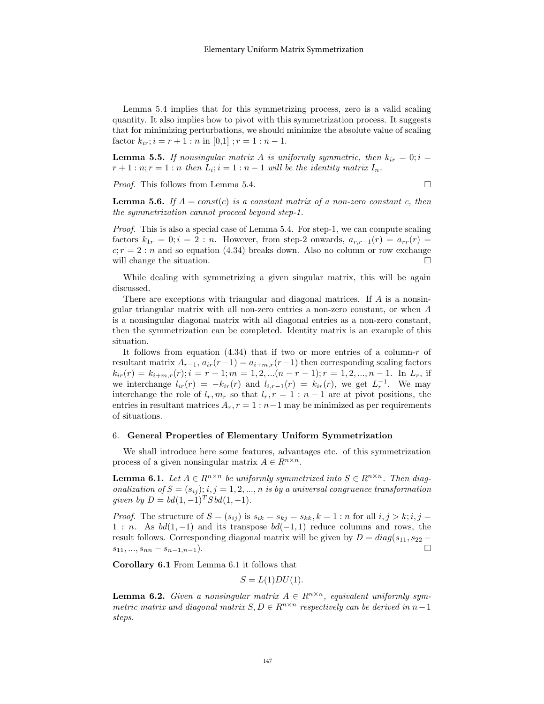Lemma 5.4 implies that for this symmetrizing process, zero is a valid scaling quantity. It also implies how to pivot with this symmetrization process. It suggests that for minimizing perturbations, we should minimize the absolute value of scaling factor  $k_{ir}$ ;  $i = r + 1$ : n in [0,1];  $r = 1$ :  $n - 1$ .

**Lemma 5.5.** If nonsingular matrix A is uniformly symmetric, then  $k_{ir} = 0; i =$  $r+1:n; r=1:n$  then  $L_i; i=1:n-1$  will be the identity matrix  $I_n$ .

Proof. This follows from Lemma 5.4.

$$
\Box
$$

**Lemma 5.6.** If  $A = const(c)$  is a constant matrix of a non-zero constant c, then the symmetrization cannot proceed beyond step-1.

Proof. This is also a special case of Lemma 5.4. For step-1, we can compute scaling factors  $k_{1r} = 0; i = 2:n$ . However, from step-2 onwards,  $a_{r,r-1}(r) = a_{rr}(r)$  $c; r = 2:n$  and so equation (4.34) breaks down. Also no column or row exchange will change the situation.  $\hfill \square$ 

While dealing with symmetrizing a given singular matrix, this will be again discussed.

There are exceptions with triangular and diagonal matrices. If A is a nonsingular triangular matrix with all non-zero entries a non-zero constant, or when A is a nonsingular diagonal matrix with all diagonal entries as a non-zero constant, then the symmetrization can be completed. Identity matrix is an example of this situation.

It follows from equation  $(4.34)$  that if two or more entries of a column-r of resultant matrix  $A_{r-1}$ ,  $a_{ir}(r-1) = a_{i+m,r}(r-1)$  then corresponding scaling factors  $k_{ir}(r) = k_{i+m,r}(r); i = r+1; m = 1, 2, \ldots (n-r-1); r = 1, 2, \ldots, n-1.$  In  $L_r$ , if we interchange  $l_{ir}(r) = -k_{ir}(r)$  and  $l_{i,r-1}(r) = k_{ir}(r)$ , we get  $L_r^{-1}$ . We may interchange the role of  $l_r, m_r$  so that  $l_r, r = 1 : n - 1$  are at pivot positions, the entries in resultant matrices  $A_r$ ,  $r = 1 : n-1$  may be minimized as per requirements of situations.

#### 6. General Properties of Elementary Uniform Symmetrization

We shall introduce here some features, advantages etc. of this symmetrization process of a given nonsingular matrix  $A \in R^{n \times n}$ .

**Lemma 6.1.** Let  $A \in \mathbb{R}^{n \times n}$  be uniformly symmetrized into  $S \in \mathbb{R}^{n \times n}$ . Then diagonalization of  $S = (s_{ij}); i, j = 1, 2, ..., n$  is by a universal congruence transformation given by  $D = bd(1, -1)^T S bd(1, -1)$ .

*Proof.* The structure of  $S = (s_{ij})$  is  $s_{ik} = s_{kj} = s_{kk}$ ,  $k = 1:n$  for all  $i, j > k; i, j =$ 1 : n. As  $bd(1, -1)$  and its transpose  $bd(-1, 1)$  reduce columns and rows, the result follows. Corresponding diagonal matrix will be given by  $D = diag(s_{11}, s_{22}$  $s_{11},..., s_{nn} - s_{n-1,n-1}$ ).

Corollary 6.1 From Lemma 6.1 it follows that

$$
S = L(1)DU(1).
$$

**Lemma 6.2.** Given a nonsingular matrix  $A \in R^{n \times n}$ , equivalent uniformly symmetric matrix and diagonal matrix  $S, D \in R^{n \times n}$  respectively can be derived in  $n-1$ steps.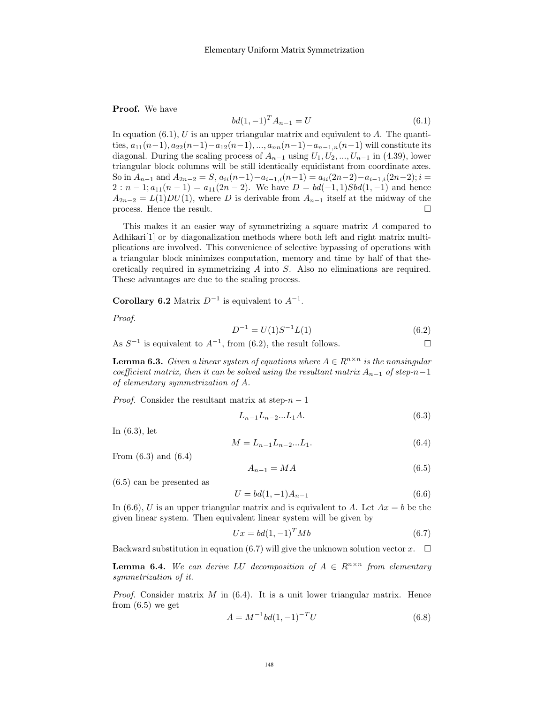Proof. We have

$$
bd(1, -1)^T A_{n-1} = U \tag{6.1}
$$

In equation  $(6.1)$ , U is an upper triangular matrix and equivalent to A. The quantities,  $a_{11}(n-1), a_{22}(n-1)-a_{12}(n-1), ..., a_{nn}(n-1)-a_{n-1,n}(n-1)$  will constitute its diagonal. During the scaling process of  $A_{n-1}$  using  $U_1, U_2, ..., U_{n-1}$  in (4.39), lower triangular block columns will be still identically equidistant from coordinate axes. So in  $A_{n-1}$  and  $A_{2n-2} = S$ ,  $a_{ii}(n-1)-a_{i-1,i}(n-1) = a_{ii}(2n-2)-a_{i-1,i}(2n-2); i =$  $2: n-1; a_{11}(n-1) = a_{11}(2n-2)$ . We have  $D = bd(-1, 1)Sbd(1, -1)$  and hence  $A_{2n-2} = L(1)DU(1)$ , where D is derivable from  $A_{n-1}$  itself at the midway of the process. Hence the result.  $\Box$ 

This makes it an easier way of symmetrizing a square matrix A compared to Adhikari<sup>[1]</sup> or by diagonalization methods where both left and right matrix multiplications are involved. This convenience of selective bypassing of operations with a triangular block minimizes computation, memory and time by half of that theoretically required in symmetrizing A into S. Also no eliminations are required. These advantages are due to the scaling process.

Corollary 6.2 Matrix  $D^{-1}$  is equivalent to  $A^{-1}$ .

Proof.

$$
D^{-1} = U(1)S^{-1}L(1) \tag{6.2}
$$

As  $S^{-1}$  is equivalent to  $A^{-1}$ , from (6.2), the result follows.

**Lemma 6.3.** Given a linear system of equations where  $A \in R^{n \times n}$  is the nonsingular coefficient matrix, then it can be solved using the resultant matrix  $A_{n-1}$  of step-n-1 of elementary symmetrization of A.

*Proof.* Consider the resultant matrix at step- $n-1$ 

$$
L_{n-1}L_{n-2}...L_1A.\t\t(6.3)
$$

In (6.3), let

$$
M = L_{n-1}L_{n-2}...L_1.
$$
\n(6.4)

From (6.3) and (6.4)

$$
A_{n-1} = MA \tag{6.5}
$$

(6.5) can be presented as

$$
U = bd(1, -1)A_{n-1}
$$
\n(6.6)

In (6.6), U is an upper triangular matrix and is equivalent to A. Let  $Ax = b$  be the given linear system. Then equivalent linear system will be given by

$$
Ux = bd(1, -1)^T Mb \tag{6.7}
$$

Backward substitution in equation (6.7) will give the unknown solution vector  $x$ .  $\Box$ 

**Lemma 6.4.** We can derive LU decomposition of  $A \in R^{n \times n}$  from elementary symmetrization of it.

*Proof.* Consider matrix  $M$  in (6.4). It is a unit lower triangular matrix. Hence from  $(6.5)$  we get

$$
A = M^{-1}bd(1, -1)^{-T}U
$$
\n(6.8)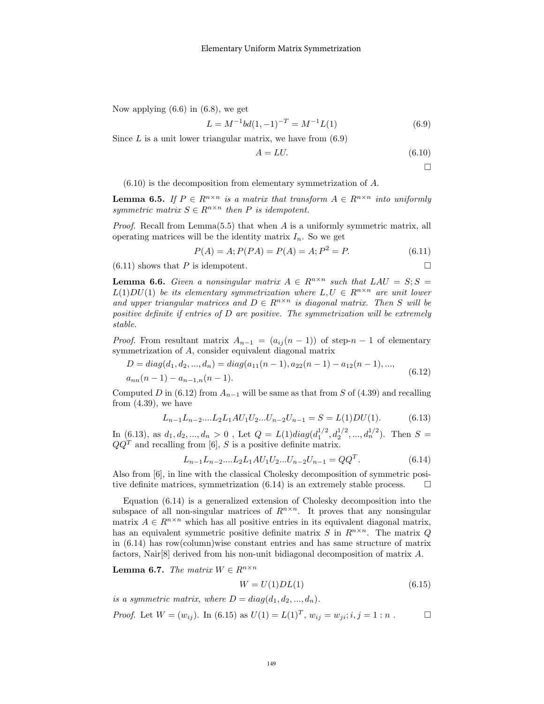Now applying  $(6.6)$  in  $(6.8)$ , we get

$$
L = M^{-1}bd(1, -1)^{-T} = M^{-1}L(1)
$$
\n(6.9)

Since  $L$  is a unit lower triangular matrix, we have from  $(6.9)$ 

$$
A = LU.\tag{6.10}
$$

 $\Box$ 

 $(6.10)$  is the decomposition from elementary symmetrization of A.

**Lemma 6.5.** If  $P \in R^{n \times n}$  is a matrix that transform  $A \in R^{n \times n}$  into uniformly symmetric matrix  $S \in R^{n \times n}$  then P is idempotent.

*Proof.* Recall from Lemma(5.5) that when A is a uniformly symmetric matrix, all operating matrices will be the identity matrix  $I_n$ . So we get

$$
P(A) = A; P(PA) = P(A) = A; P2 = P.
$$
\n(6.11)

 $(6.11)$  shows that P is idempotent.

**Lemma 6.6.** Given a nonsingular matrix  $A \in R^{n \times n}$  such that  $LAU = S; S =$  $L(1)DU(1)$  be its elementary symmetrization where  $L, U \in R^{n \times n}$  are unit lower and upper triangular matrices and  $D \in R^{n \times n}$  is diagonal matrix. Then S will be positive definite if entries of D are positive. The symmetrization will be extremely stable.

*Proof.* From resultant matrix  $A_{n-1} = (a_{ij}(n-1))$  of step-n – 1 of elementary symmetrization of A, consider equivalent diagonal matrix

$$
D = diag(d_1, d_2, ..., d_n) = diag(a_{11}(n-1), a_{22}(n-1) - a_{12}(n-1), ..., a_{nn}(n-1) - a_{n-1,n}(n-1).
$$
\n(6.12)

Computed D in (6.12) from  $A_{n-1}$  will be same as that from S of (4.39) and recalling from (4.39), we have

$$
L_{n-1}L_{n-2}....L_2L_1AU_1U_2...U_{n-2}U_{n-1} = S = L(1)DU(1).
$$
 (6.13)

In (6.13), as  $d_1, d_2, ..., d_n > 0$ , Let  $Q = L(1)diag(d_1^{1/2}, d_2^{1/2}, ..., d_n^{1/2})$ . Then  $S =$  $QQ<sup>T</sup>$  and recalling from [6], S is a positive definite matrix.

$$
L_{n-1}L_{n-2}....L_2L_1AU_1U_2...U_{n-2}U_{n-1} = QQ^T.
$$
\n(6.14)

Also from [6], in line with the classical Cholesky decomposition of symmetric positive definite matrices, symmetrization  $(6.14)$  is an extremely stable process.  $\Box$ 

Equation (6.14) is a generalized extension of Cholesky decomposition into the subspace of all non-singular matrices of  $R^{n \times n}$ . It proves that any nonsingular matrix  $A \in \mathbb{R}^{n \times n}$  which has all positive entries in its equivalent diagonal matrix, has an equivalent symmetric positive definite matrix S in  $R^{n \times n}$ . The matrix Q in (6.14) has row(column)wise constant entries and has same structure of matrix factors, Nair[8] derived from his non-unit bidiagonal decomposition of matrix A.

**Lemma 6.7.** The matrix  $W \in R^{n \times n}$ 

$$
W = U(1)DL(1) \tag{6.15}
$$

is a symmetric matrix, where  $D = diag(d_1, d_2, ..., d_n)$ .

*Proof.* Let 
$$
W = (w_{ij})
$$
. In (6.15) as  $U(1) = L(1)^T$ ,  $w_{ij} = w_{ji}$ ;  $i, j = 1 : n$ .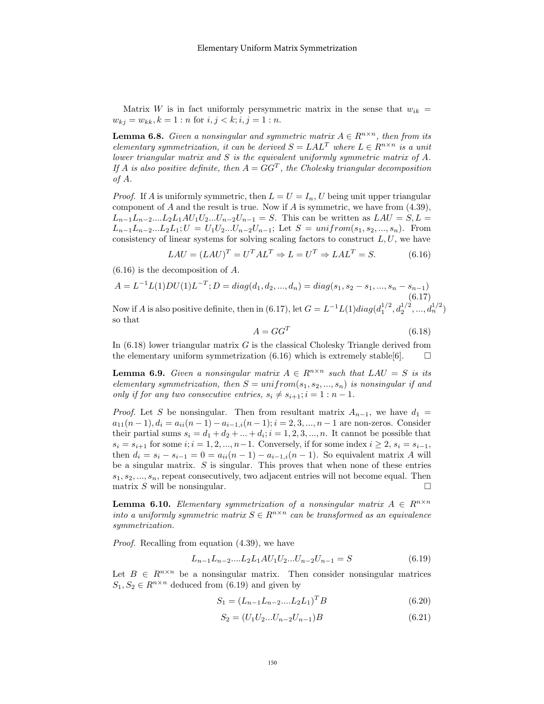Matrix W is in fact uniformly persymmetric matrix in the sense that  $w_{ik} =$  $w_{kj} = w_{kk}, k = 1 : n \text{ for } i, j < k; i, j = 1 : n.$ 

**Lemma 6.8.** Given a nonsingular and symmetric matrix  $A \in \mathbb{R}^{n \times n}$ , then from its elementary symmetrization, it can be derived  $S = LAL^{T}$  where  $L \in R^{n \times n}$  is a unit lower triangular matrix and S is the equivalent uniformly symmetric matrix of A. If A is also positive definite, then  $A = GG^T$ , the Cholesky triangular decomposition of A.

*Proof.* If A is uniformly symmetric, then  $L = U = I_n$ , U being unit upper triangular component of  $A$  and the result is true. Now if  $A$  is symmetric, we have from  $(4.39)$ ,  $L_{n-1}L_{n-2}...L_2L_1AU_1U_2...U_{n-2}U_{n-1} = S$ . This can be written as  $LAU = S, L =$  $L_{n-1}L_{n-2}...L_2L_1; U = U_1U_2...U_{n-2}U_{n-1};$  Let  $S = uniform(s_1, s_2, ..., s_n)$ . From consistency of linear systems for solving scaling factors to construct  $L, U$ , we have

$$
LAU = (LAU)^{T} = U^{T}AL^{T} \Rightarrow L = U^{T} \Rightarrow LAL^{T} = S.
$$
 (6.16)

(6.16) is the decomposition of A.

$$
A = L^{-1}L(1)DU(1)L^{-T}; D = diag(d_1, d_2, ..., d_n) = diag(s_1, s_2 - s_1, ..., s_n - s_{n-1})
$$
\n(6.17)

Now if A is also positive definite, then in (6.17), let  $G = L^{-1}L(1)diag(d_1^{1/2}, d_2^{1/2}, ..., d_n^{1/2})$ so that

$$
A = GG^T \tag{6.18}
$$

In  $(6.18)$  lower triangular matrix G is the classical Cholesky Triangle derived from the elementary uniform symmetrization (6.16) which is extremely stable [6].  $\Box$ 

**Lemma 6.9.** Given a nonsingular matrix  $A \in \mathbb{R}^{n \times n}$  such that  $LAU = S$  is its elementary symmetrization, then  $S = uniform(s_1, s_2, ..., s_n)$  is nonsingular if and only if for any two consecutive entries,  $s_i \neq s_{i+1}; i = 1 : n - 1$ .

*Proof.* Let S be nonsingular. Then from resultant matrix  $A_{n-1}$ , we have  $d_1 =$  $a_{11}(n-1), d_i = a_{ii}(n-1) - a_{i-1,i}(n-1); i = 2, 3, ..., n-1$  are non-zeros. Consider their partial sums  $s_i = d_1 + d_2 + \dots + d_i; i = 1, 2, 3, \dots, n$ . It cannot be possible that  $s_i = s_{i+1}$  for some  $i; i = 1, 2, ..., n-1$ . Conversely, if for some index  $i \geq 2$ ,  $s_i = s_{i-1}$ , then  $d_i = s_i - s_{i-1} = 0 = a_{ii}(n-1) - a_{i-1,i}(n-1)$ . So equivalent matrix A will be a singular matrix. S is singular. This proves that when none of these entries  $s_1, s_2, ..., s_n$ , repeat consecutively, two adjacent entries will not become equal. Then matrix S will be nonsingular.

**Lemma 6.10.** Elementary symmetrization of a nonsingular matrix  $A \in R^{n \times n}$ into a uniformly symmetric matrix  $S \in R^{n \times n}$  can be transformed as an equivalence symmetrization.

Proof. Recalling from equation (4.39), we have

$$
L_{n-1}L_{n-2}....L_2L_1AU_1U_2...U_{n-2}U_{n-1} = S \t\t(6.19)
$$

Let  $B \in R^{n \times n}$  be a nonsingular matrix. Then consider nonsingular matrices  $S_1, S_2 \in R^{n \times n}$  deduced from (6.19) and given by

$$
S_1 = (L_{n-1}L_{n-2}....L_2L_1)^T B \tag{6.20}
$$

$$
S_2 = (U_1 U_2 ... U_{n-2} U_{n-1}) B \tag{6.21}
$$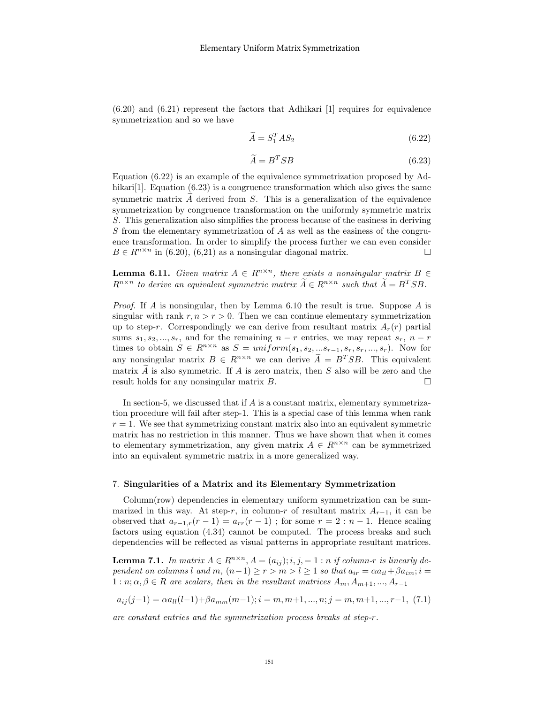$(6.20)$  and  $(6.21)$  represent the factors that Adhikari [1] requires for equivalence symmetrization and so we have

$$
\widetilde{A} = S_1^T A S_2 \tag{6.22}
$$

$$
\widetilde{A} = B^T S B \tag{6.23}
$$

Equation (6.22) is an example of the equivalence symmetrization proposed by Adhikari<sup>[1]</sup>. Equation  $(6.23)$  is a congruence transformation which also gives the same symmetric matrix  $A$  derived from  $S$ . This is a generalization of the equivalence symmetrization by congruence transformation on the uniformly symmetric matrix S. This generalization also simplifies the process because of the easiness in deriving S from the elementary symmetrization of  $A$  as well as the easiness of the congruence transformation. In order to simplify the process further we can even consider  $B \in R^{n \times n}$  in (6.20), (6.21) as a nonsingular diagonal matrix.

**Lemma 6.11.** Given matrix  $A \in R^{n \times n}$ , there exists a nonsingular matrix  $B \in$  $R^{n \times n}$  to derive an equivalent symmetric matrix  $\widetilde{A} \in R^{n \times n}$  such that  $\widetilde{A} = B^{T}SB$ .

*Proof.* If A is nonsingular, then by Lemma 6.10 the result is true. Suppose A is singular with rank  $r, n > r > 0$ . Then we can continue elementary symmetrization up to step-r. Correspondingly we can derive from resultant matrix  $A_r(r)$  partial sums  $s_1, s_2, ..., s_r$ , and for the remaining  $n - r$  entries, we may repeat  $s_r$ ,  $n - r$ times to obtain  $S \in R^{n \times n}$  as  $S = uniform(s_1, s_2, ... s_{r-1}, s_r, s_r, ..., s_r)$ . Now for any nonsingular matrix  $B \in R^{n \times n}$  we can derive  $\widetilde{A} = B^{T}SB$ . This equivalent matrix  $\overrightarrow{A}$  is also symmetric. If  $\overrightarrow{A}$  is zero matrix, then  $\overrightarrow{S}$  also will be zero and the result holds for any nonsingular matrix  $\overrightarrow{B}$ . result holds for any nonsingular matrix B.

In section-5, we discussed that if A is a constant matrix, elementary symmetrization procedure will fail after step-1. This is a special case of this lemma when rank  $r = 1$ . We see that symmetrizing constant matrix also into an equivalent symmetric matrix has no restriction in this manner. Thus we have shown that when it comes to elementary symmetrization, any given matrix  $A \in R^{n \times n}$  can be symmetrized into an equivalent symmetric matrix in a more generalized way.

#### 7. Singularities of a Matrix and its Elementary Symmetrization

Column(row) dependencies in elementary uniform symmetrization can be summarized in this way. At step-r, in column-r of resultant matrix  $A_{r-1}$ , it can be observed that  $a_{r-1,r}(r-1) = a_{rr}(r-1)$ ; for some  $r = 2 : n-1$ . Hence scaling factors using equation (4.34) cannot be computed. The process breaks and such dependencies will be reflected as visual patterns in appropriate resultant matrices.

**Lemma 7.1.** In matrix  $A \in \mathbb{R}^{n \times n}$ ,  $A = (a_{ij}); i, j = 1:n$  if column-r is linearly dependent on columns l and m,  $(n-1) \ge r > m > l \ge 1$  so that  $a_{ir} = \alpha a_{il} + \beta a_{im}; i =$  $1 : n; \alpha, \beta \in R$  are scalars, then in the resultant matrices  $A_m, A_{m+1}, ..., A_{r-1}$ 

$$
a_{ij}(j-1) = \alpha a_{ll}(l-1) + \beta a_{mm}(m-1); i = m, m+1, ..., n; j = m, m+1, ..., r-1, (7.1)
$$

are constant entries and the symmetrization process breaks at step-r.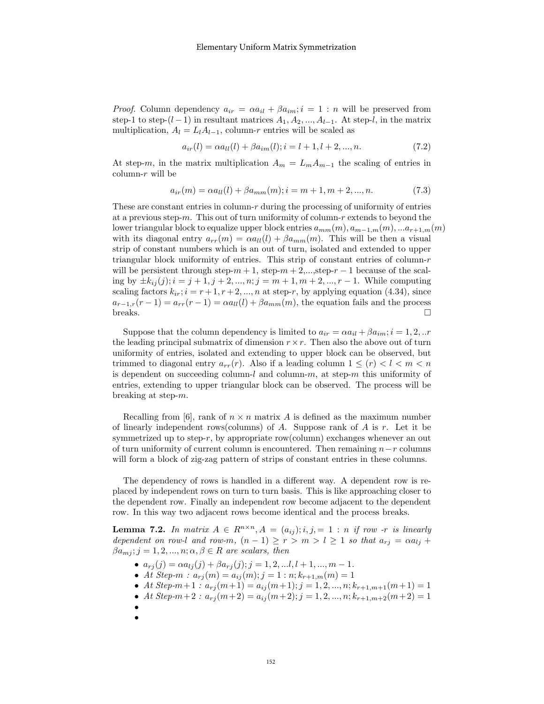*Proof.* Column dependency  $a_{ir} = \alpha a_{il} + \beta a_{im}$ ;  $i = 1 : n$  will be preserved from step-1 to step-(l − 1) in resultant matrices  $A_1, A_2, ..., A_{l-1}$ . At step-l, in the matrix multiplication,  $A_l = L_l A_{l-1}$ , column-r entries will be scaled as

$$
a_{ir}(l) = \alpha a_{ll}(l) + \beta a_{im}(l); i = l + 1, l + 2, ..., n.
$$
\n(7.2)

At step-m, in the matrix multiplication  $A_m = L_m A_{m-1}$  the scaling of entries in column-r will be

$$
a_{ir}(m) = \alpha a_{ll}(l) + \beta a_{mm}(m); i = m+1, m+2, ..., n.
$$
 (7.3)

These are constant entries in column- $r$  during the processing of uniformity of entries at a previous step-m. This out of turn uniformity of column-r extends to beyond the lower triangular block to equalize upper block entries  $a_{mm}(m), a_{m-1,m}(m), \ldots a_{r+1,m}(m)$ with its diagonal entry  $a_{rr}(m) = \alpha a_{ll}(l) + \beta a_{mm}(m)$ . This will be then a visual strip of constant numbers which is an out of turn, isolated and extended to upper triangular block uniformity of entries. This strip of constant entries of column- $r$ will be persistent through step- $m + 1$ , step- $m + 2$ ,...,step- $r - 1$  because of the scaling by  $\pm k_{ij}(j); i = j + 1, j + 2, ..., n; j = m + 1, m + 2, ..., r - 1$ . While computing scaling factors  $k_{ir}$ ;  $i = r + 1, r + 2, ..., n$  at step-r, by applying equation (4.34), since  $a_{r-1,r}(r-1) = a_{rr}(r-1) = \alpha a_{ll}(l) + \beta a_{mm}(m)$ , the equation fails and the process breaks.  $\square$ 

Suppose that the column dependency is limited to  $a_{ir} = \alpha a_{il} + \beta a_{im}; i = 1, 2, ...r$ the leading principal submatrix of dimension  $r \times r$ . Then also the above out of turn uniformity of entries, isolated and extending to upper block can be observed, but trimmed to diagonal entry  $a_{rr}(r)$ . Also if a leading column  $1 \leq (r) < l < m < n$ is dependent on succeeding column-l and column-m, at step-m this uniformity of entries, extending to upper triangular block can be observed. The process will be breaking at step-m.

Recalling from [6], rank of  $n \times n$  matrix A is defined as the maximum number of linearly independent rows(columns) of A. Suppose rank of A is  $r$ . Let it be symmetrized up to step-r, by appropriate row(column) exchanges whenever an out of turn uniformity of current column is encountered. Then remaining  $n-r$  columns will form a block of zig-zag pattern of strips of constant entries in these columns.

The dependency of rows is handled in a different way. A dependent row is replaced by independent rows on turn to turn basis. This is like approaching closer to the dependent row. Finally an independent row become adjacent to the dependent row. In this way two adjacent rows become identical and the process breaks.

**Lemma 7.2.** In matrix  $A \in R^{n \times n}$ ,  $A = (a_{ij}); i, j = 1 : n$  if row -r is linearly dependent on row-l and row-m,  $(n-1) \ge r > m > l \ge 1$  so that  $a_{rj} = \alpha a_{lj} +$  $\beta a_{mj}$ ;  $j = 1, 2, ..., n; \alpha, \beta \in R$  are scalars, then

- $a_{rj}(j) = \alpha a_{lj}(j) + \beta a_{rj}(j); j = 1, 2, \ldots, l + 1, \ldots, m 1.$
- At Step- $m : a_{rj}(m) = a_{ij}(m); j = 1 : n; k_{r+1,m}(m) = 1$
- At Step- $m+1 : a_{rj}(m+1) = a_{ij}(m+1); j = 1, 2, ..., n; k_{r+1,m+1}(m+1) = 1$
- At Step- $m+2 : a_{rj}(m+2) = a_{ij}(m+2); j = 1, 2, ..., n; k_{r+1,m+2}(m+2) = 1$
- •
- •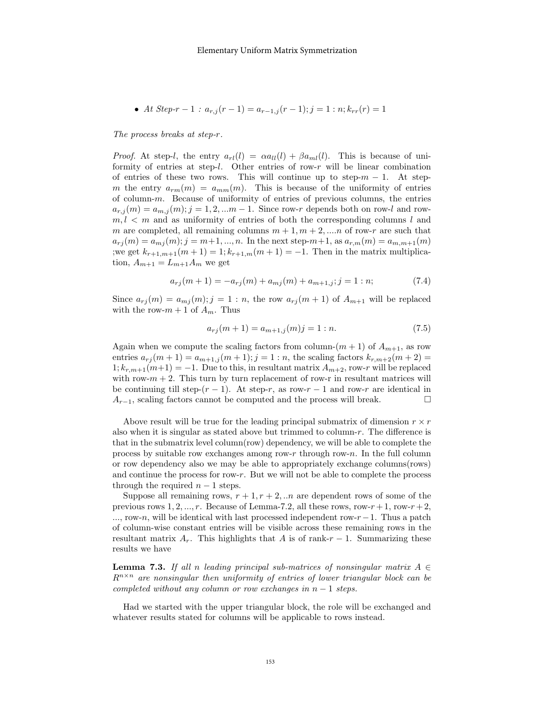• At Step-r-1: 
$$
a_{r,j}(r-1) = a_{r-1,j}(r-1); j = 1 : n; k_{rr}(r) = 1
$$

The process breaks at step-r.

*Proof.* At step-l, the entry  $a_{rl}(l) = \alpha a_{ll}(l) + \beta a_{ml}(l)$ . This is because of uniformity of entries at step-l. Other entries of row-r will be linear combination of entries of these two rows. This will continue up to step- $m-1$ . At stepm the entry  $a_{rm}(m) = a_{mm}(m)$ . This is because of the uniformity of entries of column-m. Because of uniformity of entries of previous columns, the entries  $a_{r,j}(m) = a_{m,j}(m); j = 1, 2, \dots m-1$ . Since row-r depends both on row-l and row $m, l \leq m$  and as uniformity of entries of both the corresponding columns l and m are completed, all remaining columns  $m + 1, m + 2, \dots n$  of row-r are such that  $a_{rj}(m) = a_{mj}(m); j = m+1, ..., n$ . In the next step- $m+1$ , as  $a_{r,m}(m) = a_{m,m+1}(m)$ ;we get  $k_{r+1,m+1}(m+1) = 1; k_{r+1,m}(m+1) = -1.$  Then in the matrix multiplication,  $A_{m+1} = L_{m+1}A_m$  we get

$$
a_{rj}(m+1) = -a_{rj}(m) + a_{mj}(m) + a_{m+1,j}; j = 1:n;
$$
\n(7.4)

Since  $a_{rj}(m) = a_{mj}(m); j = 1:n$ , the row  $a_{rj}(m+1)$  of  $A_{m+1}$  will be replaced with the row- $m + 1$  of  $A_m$ . Thus

$$
a_{rj}(m+1) = a_{m+1,j}(m)j = 1:n.
$$
\n(7.5)

Again when we compute the scaling factors from column- $(m + 1)$  of  $A_{m+1}$ , as row entries  $a_{rj}(m+1) = a_{m+1,j}(m+1); j = 1:n$ , the scaling factors  $k_{r,m+2}(m+2) =$  $1; k_{r,m+1}(m+1) = -1.$  Due to this, in resultant matrix  $A_{m+2}$ , row-r will be replaced with row- $m + 2$ . This turn by turn replacement of row-r in resultant matrices will be continuing till step- $(r-1)$ . At step-r, as row-r - 1 and row-r are identical in  $A_{r-1}$ , scaling factors cannot be computed and the process will break.  $\square$ 

Above result will be true for the leading principal submatrix of dimension  $r \times r$ also when it is singular as stated above but trimmed to column- $r$ . The difference is that in the submatrix level column(row) dependency, we will be able to complete the process by suitable row exchanges among row-r through row-n. In the full column or row dependency also we may be able to appropriately exchange columns(rows) and continue the process for row-r. But we will not be able to complete the process through the required  $n-1$  steps.

Suppose all remaining rows,  $r + 1, r + 2, \ldots$  are dependent rows of some of the previous rows  $1, 2, ..., r$ . Because of Lemma-7.2, all these rows, row-r + 1, row-r + 2, ..., row-n, will be identical with last processed independent row- $r-1$ . Thus a patch of column-wise constant entries will be visible across these remaining rows in the resultant matrix  $A_r$ . This highlights that A is of rank-r – 1. Summarizing these results we have

**Lemma 7.3.** If all n leading principal sub-matrices of nonsingular matrix  $A \in$  $R^{n\times n}$  are nonsingular then uniformity of entries of lower triangular block can be completed without any column or row exchanges in  $n-1$  steps.

Had we started with the upper triangular block, the role will be exchanged and whatever results stated for columns will be applicable to rows instead.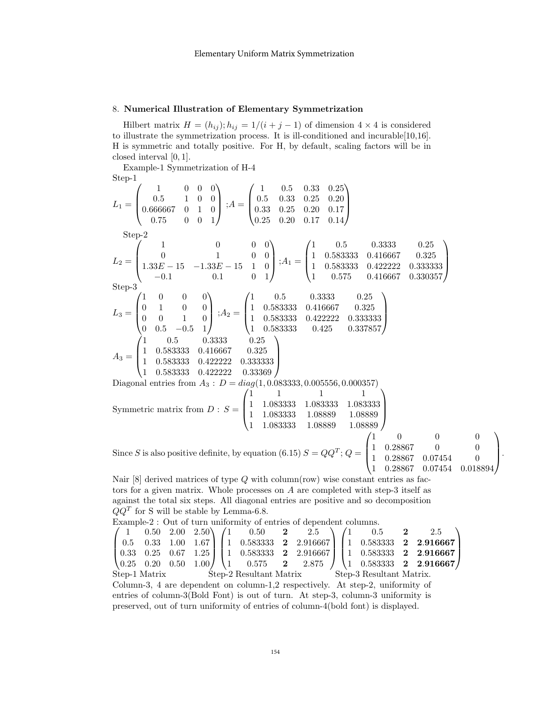## 8. Numerical Illustration of Elementary Symmetrization

Hilbert matrix  $H = (h_{ij}); h_{ij} = 1/(i + j - 1)$  of dimension  $4 \times 4$  is considered to illustrate the symmetrization process. It is ill-conditioned and incurable[10,16]. H is symmetric and totally positive. For H, by default, scaling factors will be in closed interval [0, 1].

Example-1 Symmetrization of H-4 Step-1

$$
L_1 = \begin{pmatrix} 1 & 0 & 0 & 0 \ 0.5 & 1 & 0 & 0 \ 0.666667 & 0 & 1 & 0 \ 0.75 & 0 & 0 & 1 \end{pmatrix}; A = \begin{pmatrix} 1 & 0.5 & 0.33 & 0.25 & 0.20 \ 0.33 & 0.25 & 0.20 & 0.17 \ 0.25 & 0.20 & 0.17 & 0.14 \end{pmatrix}
$$
  
\nStep-2  
\n
$$
L_2 = \begin{pmatrix} 1 & 0 & 0 & 0 \ 0 & 1 & 0 & 0 \ 1.33E - 15 & -1.33E - 15 & 1 & 0 \ -0.1 & 0.1 & 0 & 1 \end{pmatrix}; A_1 = \begin{pmatrix} 1 & 0.5 & 0.333 & 0.25 \ 1 & 0.58333 & 0.416667 & 0.325 \ 1 & 0.575 & 0.416667 & 0.330357 \end{pmatrix}
$$
  
\nStep-3  
\n
$$
L_3 = \begin{pmatrix} 1 & 0 & 0 & 0 \ 0 & 1 & 0 & 0 \ 0 & 0 & 1 & 0 \ 0 & 0 & 1 & 0 \end{pmatrix}; A_2 = \begin{pmatrix} 1 & 0.5 & 0.333 & 0.25 \ 1 & 0.583333 & 0.416667 & 0.325 \ 1 & 0.583333 & 0.422222 & 0.333333 \end{pmatrix}
$$
  
\n
$$
A_3 = \begin{pmatrix} 1 & 0 & 0 & 0 \ 1 & 0 & 0 \ 1 & 0 & 1 \ 0.5 & 0.333 & 0.25 \ 1 & 0.58333 & 0.425 & 0.337857 \end{pmatrix}
$$
  
\n
$$
A_3 = \begin{pmatrix} 1 & 0.5 & 0.333 & 0.25 \ 1 & 0.58333 & 0.416667 & 0.325 \ 1 & 0.58333 & 0.422222 & 0.333333 \ 1 & 0.583333 & 0.4
$$

tors for a given matrix. Whole processes on A are completed with step-3 itself as against the total six steps. All diagonal entries are positive and so decomposition  $QQ<sup>T</sup>$  for S will be stable by Lemma-6.8.

Example-2 : Out of turn uniformity of entries of dependent columns.  $\sqrt{ }$  $\overline{\phantom{a}}$ 1 0.50 2.00 2.50 0.5 0.33 1.00 1.67 0.33 0.25 0.67 1.25  $(0.25 \t 0.20 \t 0.50 \t 1.00) \begin{cases} 1 & 0.575 \t 2 \end{cases}$ <br>tep-1 Matrix Step-2 Resultant Matrix  $\setminus$  $\Big\}$ 71  $\begin{array}{c} 1 \\ 1 \\ 1 \end{array}$  $0.50$  2 2.5  $\begin{array}{cccc} 0.583333 & \textbf{2} & 2.916667 \\ 0.583333 & \textbf{2} & 2.916667 \end{array}$  $0.583333$  **2** 2.916667<br>0.575 **2** 2.875  $0.575$  **2** 2.875  $\setminus$  $\Big\}$  $\sqrt{ }$  $\overline{\phantom{a}}$  $0.5$  2 2.5 1 0.583333 2 2.916667 1 0.583333 2 2.916667 1 0.583333 2 2.916667  $\setminus$  $\overline{\phantom{a}}$ Step-1 Matrix Step-2 Resultant Matrix Step-3 Resultant Matrix. Column-3, 4 are dependent on column-1,2 respectively. At step-2, uniformity of entries of column-3(Bold Font) is out of turn. At step-3, column-3 uniformity is preserved, out of turn uniformity of entries of column-4(bold font) is displayed.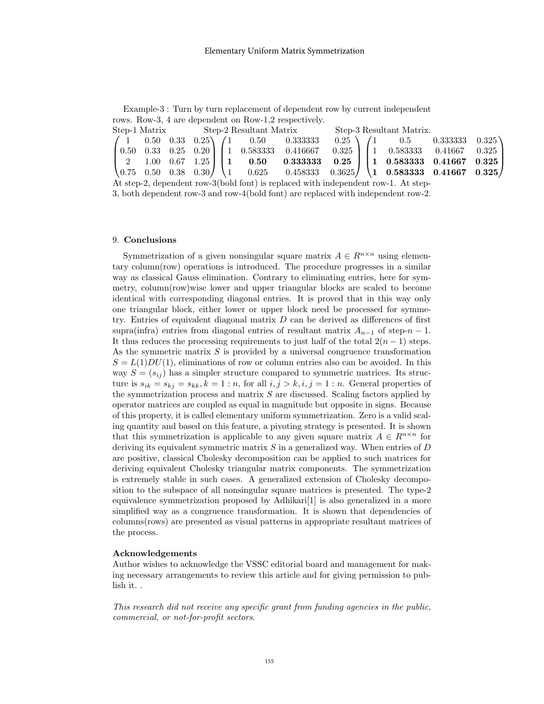Example-3 : Turn by turn replacement of dependent row by current independent rows. Row-3, 4 are dependent on Row-1,2 respectively.

|  |  |  |  | Step-1 Matrix Step-2 Resultant Matrix Step-3 Resultant Matrix. |  |  |                                                                                                                                                                                                                                            |  |  |  |  |  |
|--|--|--|--|----------------------------------------------------------------|--|--|--------------------------------------------------------------------------------------------------------------------------------------------------------------------------------------------------------------------------------------------|--|--|--|--|--|
|  |  |  |  |                                                                |  |  | $\begin{pmatrix} 1 & 0.50 & 0.33 & 0.25 \\ 0.33 & 0.25 & 1 \end{pmatrix}$ $\begin{pmatrix} 1 & 0.50 & 0.333333 & 0.25 \\ 0.33333 & 0.25 & 0.33333 & 0.325 \\ 0 & 0 & 0 & 0.33333 & 0.325 \\ 0 & 0 & 0 & 0 & 0.33333 & 0.335 \end{pmatrix}$ |  |  |  |  |  |
|  |  |  |  |                                                                |  |  | $\begin{bmatrix} 0.50 & 0.33 & 0.25 & 0.20 \end{bmatrix}$ $\begin{bmatrix} 1 & 0.583333 & 0.416667 & 0.325 \end{bmatrix}$ $\begin{bmatrix} 1 & 0.583333 & 0.41667 & 0.325 \end{bmatrix}$                                                   |  |  |  |  |  |
|  |  |  |  |                                                                |  |  | $\begin{bmatrix} 2 & 1.00 & 0.67 & 1.25 \end{bmatrix}$   1 0.50 0.333333 0.25   1 0.583333 0.41667 0.325                                                                                                                                   |  |  |  |  |  |
|  |  |  |  |                                                                |  |  | $\begin{bmatrix} 0.75 & 0.50 & 0.38 & 0.30 \end{bmatrix}$ $\begin{bmatrix} 1 & 0.625 & 0.458333 & 0.3625 \end{bmatrix}$ $\begin{bmatrix} 1 & 0.583333 & 0.41667 & 0.325 \end{bmatrix}$                                                     |  |  |  |  |  |
|  |  |  |  |                                                                |  |  | $\lambda_{i+1}$ and $\lambda_{i+1}$ and $\lambda_{i+1}$ and $\lambda_{i+1}$ and $\lambda_{i+1}$ and $\lambda_{i+1}$ and $\lambda_{i+1}$                                                                                                    |  |  |  |  |  |

At step-2, dependent row-3(bold font) is replaced with independent row-1. At step-3, both dependent row-3 and row-4(bold font) are replaced with independent row-2.

#### 9. Conclusions

Symmetrization of a given nonsingular square matrix  $A \in R^{n \times n}$  using elementary column(row) operations is introduced. The procedure progresses in a similar way as classical Gauss elimination. Contrary to eliminating entries, here for symmetry, column(row)wise lower and upper triangular blocks are scaled to become identical with corresponding diagonal entries. It is proved that in this way only one triangular block, either lower or upper block need be processed for symmetry. Entries of equivalent diagonal matrix  $D$  can be derived as differences of first supra(infra) entries from diagonal entries of resultant matrix  $A_{n-1}$  of step- $n-1$ . It thus reduces the processing requirements to just half of the total  $2(n - 1)$  steps. As the symmetric matrix  $S$  is provided by a universal congruence transformation  $S = L(1)DU(1)$ , eliminations of row or column entries also can be avoided. In this way  $S = (s_{ij})$  has a simpler structure compared to symmetric matrices. Its structure is  $s_{ik} = s_{ki} = s_{kk}$ ,  $k = 1:n$ , for all  $i, j > k, i, j = 1:n$ . General properties of the symmetrization process and matrix  $S$  are discussed. Scaling factors applied by operator matrices are coupled as equal in magnitude but opposite in signs. Because of this property, it is called elementary uniform symmetrization. Zero is a valid scaling quantity and based on this feature, a pivoting strategy is presented. It is shown that this symmetrization is applicable to any given square matrix  $A \in R^{n \times n}$  for deriving its equivalent symmetric matrix  $S$  in a generalized way. When entries of  $D$ are positive, classical Cholesky decomposition can be applied to such matrices for deriving equivalent Cholesky triangular matrix components. The symmetrization is extremely stable in such cases. A generalized extension of Cholesky decomposition to the subspace of all nonsingular square matrices is presented. The type-2 equivalence symmetrization proposed by Adhikari[1] is also generalized in a more simplified way as a congruence transformation. It is shown that dependencies of columns(rows) are presented as visual patterns in appropriate resultant matrices of the process.

#### Acknowledgements

Author wishes to acknowledge the VSSC editorial board and management for making necessary arrangements to review this article and for giving permission to publish it. .

This research did not receive any specific grant from funding agencies in the public, commercial, or not-for-profit sectors.